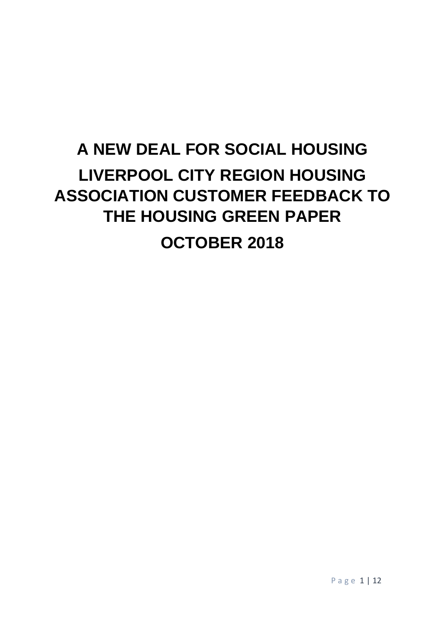# **A NEW DEAL FOR SOCIAL HOUSING LIVERPOOL CITY REGION HOUSING ASSOCIATION CUSTOMER FEEDBACK TO THE HOUSING GREEN PAPER OCTOBER 2018**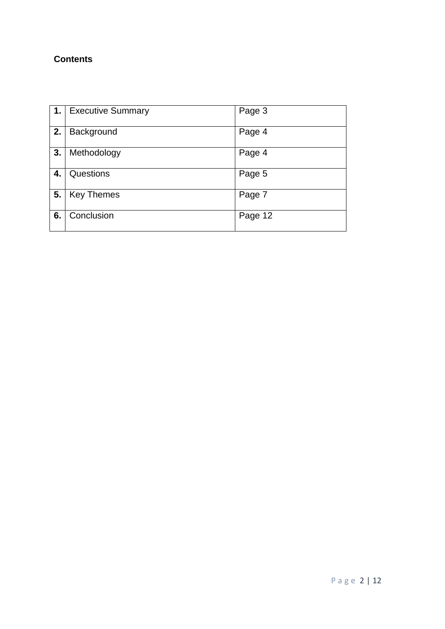# **Contents**

|    | 1.   Executive Summary | Page 3  |
|----|------------------------|---------|
| 2. | Background             | Page 4  |
| 3. | Methodology            | Page 4  |
| 4. | Questions              | Page 5  |
| 5. | <b>Key Themes</b>      | Page 7  |
| 6. | Conclusion             | Page 12 |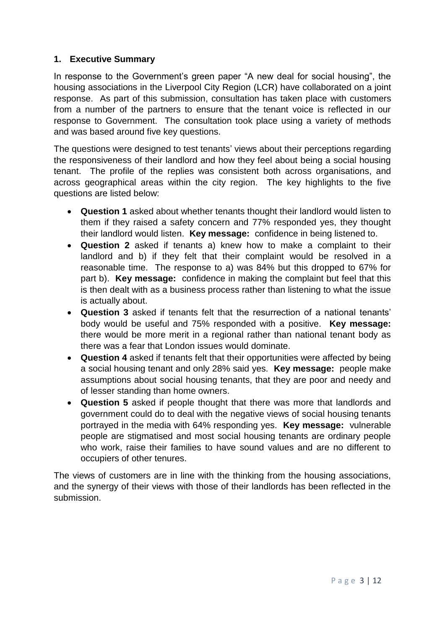#### **1. Executive Summary**

In response to the Government's green paper "A new deal for social housing", the housing associations in the Liverpool City Region (LCR) have collaborated on a joint response. As part of this submission, consultation has taken place with customers from a number of the partners to ensure that the tenant voice is reflected in our response to Government. The consultation took place using a variety of methods and was based around five key questions.

The questions were designed to test tenants' views about their perceptions regarding the responsiveness of their landlord and how they feel about being a social housing tenant. The profile of the replies was consistent both across organisations, and across geographical areas within the city region. The key highlights to the five questions are listed below:

- **Question 1** asked about whether tenants thought their landlord would listen to them if they raised a safety concern and 77% responded yes, they thought their landlord would listen. **Key message:** confidence in being listened to.
- **Question 2** asked if tenants a) knew how to make a complaint to their landlord and b) if they felt that their complaint would be resolved in a reasonable time. The response to a) was 84% but this dropped to 67% for part b). **Key message:** confidence in making the complaint but feel that this is then dealt with as a business process rather than listening to what the issue is actually about.
- **Question 3** asked if tenants felt that the resurrection of a national tenants' body would be useful and 75% responded with a positive. **Key message:**  there would be more merit in a regional rather than national tenant body as there was a fear that London issues would dominate.
- **Question 4** asked if tenants felt that their opportunities were affected by being a social housing tenant and only 28% said yes. **Key message:** people make assumptions about social housing tenants, that they are poor and needy and of lesser standing than home owners.
- **Question 5** asked if people thought that there was more that landlords and government could do to deal with the negative views of social housing tenants portrayed in the media with 64% responding yes. **Key message:** vulnerable people are stigmatised and most social housing tenants are ordinary people who work, raise their families to have sound values and are no different to occupiers of other tenures.

The views of customers are in line with the thinking from the housing associations, and the synergy of their views with those of their landlords has been reflected in the submission.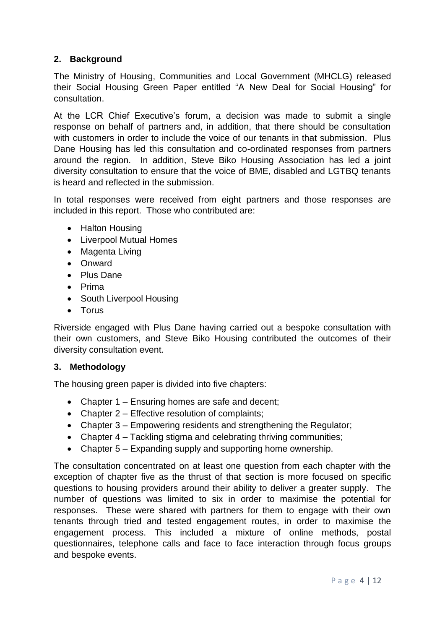## **2. Background**

The Ministry of Housing, Communities and Local Government (MHCLG) released their Social Housing Green Paper entitled "A New Deal for Social Housing" for consultation.

At the LCR Chief Executive's forum, a decision was made to submit a single response on behalf of partners and, in addition, that there should be consultation with customers in order to include the voice of our tenants in that submission. Plus Dane Housing has led this consultation and co-ordinated responses from partners around the region. In addition, Steve Biko Housing Association has led a joint diversity consultation to ensure that the voice of BME, disabled and LGTBQ tenants is heard and reflected in the submission.

In total responses were received from eight partners and those responses are included in this report. Those who contributed are:

- Halton Housing
- Liverpool Mutual Homes
- Magenta Living
- Onward
- Plus Dane
- Prima
- South Liverpool Housing
- Torus

Riverside engaged with Plus Dane having carried out a bespoke consultation with their own customers, and Steve Biko Housing contributed the outcomes of their diversity consultation event.

### **3. Methodology**

The housing green paper is divided into five chapters:

- Chapter 1 Ensuring homes are safe and decent;
- Chapter 2 Effective resolution of complaints;
- Chapter 3 Empowering residents and strengthening the Regulator;
- Chapter 4 Tackling stigma and celebrating thriving communities;
- Chapter 5 Expanding supply and supporting home ownership.

The consultation concentrated on at least one question from each chapter with the exception of chapter five as the thrust of that section is more focused on specific questions to housing providers around their ability to deliver a greater supply. The number of questions was limited to six in order to maximise the potential for responses. These were shared with partners for them to engage with their own tenants through tried and tested engagement routes, in order to maximise the engagement process. This included a mixture of online methods, postal questionnaires, telephone calls and face to face interaction through focus groups and bespoke events.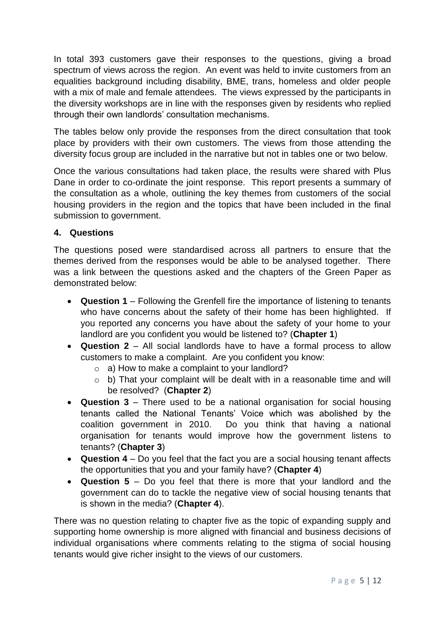In total 393 customers gave their responses to the questions, giving a broad spectrum of views across the region. An event was held to invite customers from an equalities background including disability, BME, trans, homeless and older people with a mix of male and female attendees. The views expressed by the participants in the diversity workshops are in line with the responses given by residents who replied through their own landlords' consultation mechanisms.

The tables below only provide the responses from the direct consultation that took place by providers with their own customers. The views from those attending the diversity focus group are included in the narrative but not in tables one or two below.

Once the various consultations had taken place, the results were shared with Plus Dane in order to co-ordinate the joint response. This report presents a summary of the consultation as a whole, outlining the key themes from customers of the social housing providers in the region and the topics that have been included in the final submission to government.

### **4. Questions**

The questions posed were standardised across all partners to ensure that the themes derived from the responses would be able to be analysed together. There was a link between the questions asked and the chapters of the Green Paper as demonstrated below:

- **Question 1** Following the Grenfell fire the importance of listening to tenants who have concerns about the safety of their home has been highlighted. If you reported any concerns you have about the safety of your home to your landlord are you confident you would be listened to? (**Chapter 1**)
- **Question 2** All social landlords have to have a formal process to allow customers to make a complaint. Are you confident you know:
	- o a) How to make a complaint to your landlord?
	- o b) That your complaint will be dealt with in a reasonable time and will be resolved? (**Chapter 2**)
- **Question 3** There used to be a national organisation for social housing tenants called the National Tenants' Voice which was abolished by the coalition government in 2010. Do you think that having a national organisation for tenants would improve how the government listens to tenants? (**Chapter 3**)
- **Question 4** Do you feel that the fact you are a social housing tenant affects the opportunities that you and your family have? (**Chapter 4**)
- **Question 5** Do you feel that there is more that your landlord and the government can do to tackle the negative view of social housing tenants that is shown in the media? (**Chapter 4**).

There was no question relating to chapter five as the topic of expanding supply and supporting home ownership is more aligned with financial and business decisions of individual organisations where comments relating to the stigma of social housing tenants would give richer insight to the views of our customers.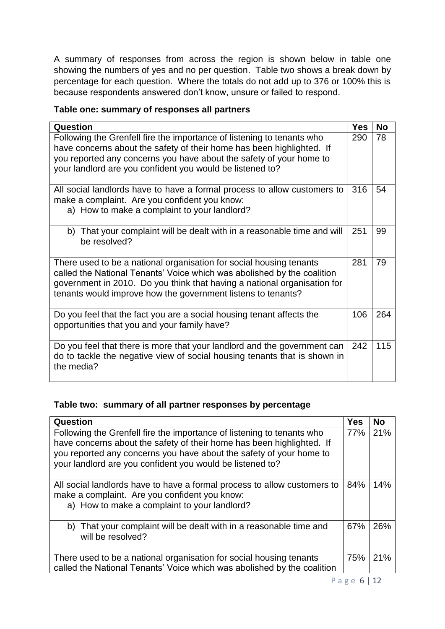A summary of responses from across the region is shown below in table one showing the numbers of yes and no per question. Table two shows a break down by percentage for each question. Where the totals do not add up to 376 or 100% this is because respondents answered don't know, unsure or failed to respond.

### **Table one: summary of responses all partners**

| Question                                                                                                                                                                                                                                                                                   |     | <b>No</b> |
|--------------------------------------------------------------------------------------------------------------------------------------------------------------------------------------------------------------------------------------------------------------------------------------------|-----|-----------|
| Following the Grenfell fire the importance of listening to tenants who<br>have concerns about the safety of their home has been highlighted. If<br>you reported any concerns you have about the safety of your home to<br>your landlord are you confident you would be listened to?        | 290 | 78        |
| All social landlords have to have a formal process to allow customers to<br>make a complaint. Are you confident you know:<br>a) How to make a complaint to your landlord?                                                                                                                  |     | 54        |
| That your complaint will be dealt with in a reasonable time and will<br>b)<br>be resolved?                                                                                                                                                                                                 | 251 | 99        |
| There used to be a national organisation for social housing tenants<br>called the National Tenants' Voice which was abolished by the coalition<br>government in 2010. Do you think that having a national organisation for<br>tenants would improve how the government listens to tenants? |     | 79        |
| Do you feel that the fact you are a social housing tenant affects the<br>opportunities that you and your family have?                                                                                                                                                                      |     | 264       |
| Do you feel that there is more that your landlord and the government can<br>do to tackle the negative view of social housing tenants that is shown in<br>the media?                                                                                                                        | 242 | 115       |

### **Table two: summary of all partner responses by percentage**

| Question                                                                                                                                                                                                                                                                            |     | <b>No</b> |
|-------------------------------------------------------------------------------------------------------------------------------------------------------------------------------------------------------------------------------------------------------------------------------------|-----|-----------|
| Following the Grenfell fire the importance of listening to tenants who<br>have concerns about the safety of their home has been highlighted. If<br>you reported any concerns you have about the safety of your home to<br>your landlord are you confident you would be listened to? | 77% | 21%       |
| All social landlords have to have a formal process to allow customers to<br>make a complaint. Are you confident you know:<br>a) How to make a complaint to your landlord?                                                                                                           |     | 14%       |
| b) That your complaint will be dealt with in a reasonable time and<br>will be resolved?                                                                                                                                                                                             | 67% | 26%       |
| There used to be a national organisation for social housing tenants<br>called the National Tenants' Voice which was abolished by the coalition                                                                                                                                      | 75% | 21%       |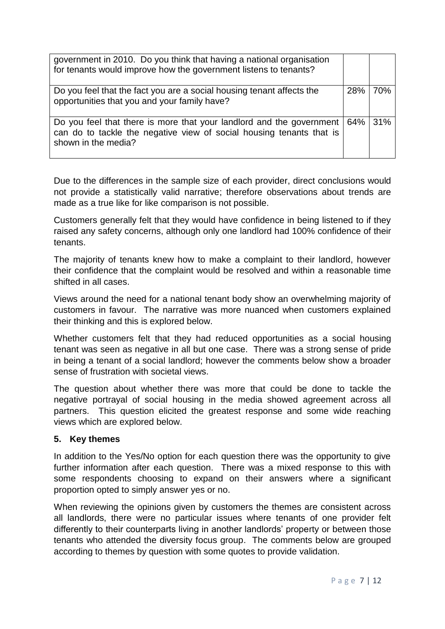| government in 2010. Do you think that having a national organisation<br>for tenants would improve how the government listens to tenants?                            |         |     |
|---------------------------------------------------------------------------------------------------------------------------------------------------------------------|---------|-----|
| Do you feel that the fact you are a social housing tenant affects the<br>opportunities that you and your family have?                                               | 28%     | 70% |
| Do you feel that there is more that your landlord and the government<br>can do to tackle the negative view of social housing tenants that is<br>shown in the media? | 64% 31% |     |

Due to the differences in the sample size of each provider, direct conclusions would not provide a statistically valid narrative; therefore observations about trends are made as a true like for like comparison is not possible.

Customers generally felt that they would have confidence in being listened to if they raised any safety concerns, although only one landlord had 100% confidence of their tenants.

The majority of tenants knew how to make a complaint to their landlord, however their confidence that the complaint would be resolved and within a reasonable time shifted in all cases.

Views around the need for a national tenant body show an overwhelming majority of customers in favour. The narrative was more nuanced when customers explained their thinking and this is explored below.

Whether customers felt that they had reduced opportunities as a social housing tenant was seen as negative in all but one case. There was a strong sense of pride in being a tenant of a social landlord; however the comments below show a broader sense of frustration with societal views.

The question about whether there was more that could be done to tackle the negative portrayal of social housing in the media showed agreement across all partners. This question elicited the greatest response and some wide reaching views which are explored below.

### **5. Key themes**

In addition to the Yes/No option for each question there was the opportunity to give further information after each question. There was a mixed response to this with some respondents choosing to expand on their answers where a significant proportion opted to simply answer yes or no.

When reviewing the opinions given by customers the themes are consistent across all landlords, there were no particular issues where tenants of one provider felt differently to their counterparts living in another landlords' property or between those tenants who attended the diversity focus group. The comments below are grouped according to themes by question with some quotes to provide validation.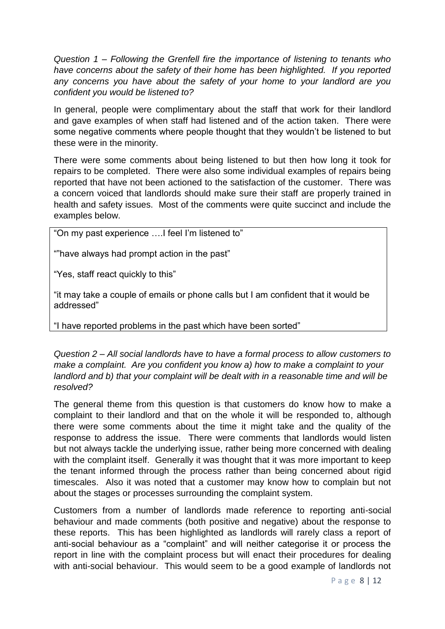*Question 1 – Following the Grenfell fire the importance of listening to tenants who have concerns about the safety of their home has been highlighted. If you reported any concerns you have about the safety of your home to your landlord are you confident you would be listened to?*

In general, people were complimentary about the staff that work for their landlord and gave examples of when staff had listened and of the action taken. There were some negative comments where people thought that they wouldn't be listened to but these were in the minority.

There were some comments about being listened to but then how long it took for repairs to be completed. There were also some individual examples of repairs being reported that have not been actioned to the satisfaction of the customer. There was a concern voiced that landlords should make sure their staff are properly trained in health and safety issues. Most of the comments were quite succinct and include the examples below.

"On my past experience ….I feel I'm listened to"

""have always had prompt action in the past"

"Yes, staff react quickly to this"

"it may take a couple of emails or phone calls but I am confident that it would be addressed"

"I have reported problems in the past which have been sorted"

*Question 2 – All social landlords have to have a formal process to allow customers to make a complaint. Are you confident you know a) how to make a complaint to your landlord and b) that your complaint will be dealt with in a reasonable time and will be resolved?*

The general theme from this question is that customers do know how to make a complaint to their landlord and that on the whole it will be responded to, although there were some comments about the time it might take and the quality of the response to address the issue. There were comments that landlords would listen but not always tackle the underlying issue, rather being more concerned with dealing with the complaint itself. Generally it was thought that it was more important to keep the tenant informed through the process rather than being concerned about rigid timescales. Also it was noted that a customer may know how to complain but not about the stages or processes surrounding the complaint system.

Customers from a number of landlords made reference to reporting anti-social behaviour and made comments (both positive and negative) about the response to these reports. This has been highlighted as landlords will rarely class a report of anti-social behaviour as a "complaint" and will neither categorise it or process the report in line with the complaint process but will enact their procedures for dealing with anti-social behaviour. This would seem to be a good example of landlords not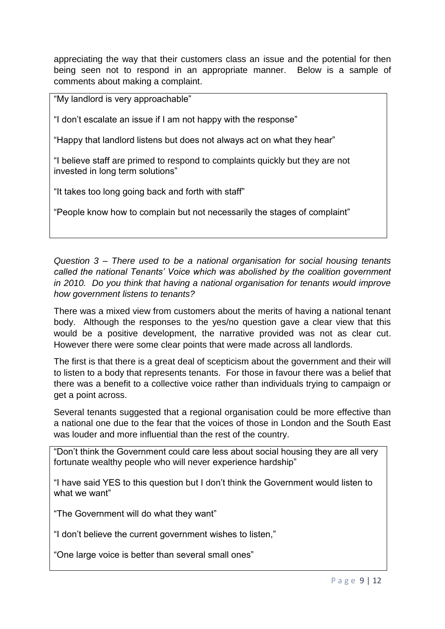appreciating the way that their customers class an issue and the potential for then being seen not to respond in an appropriate manner. Below is a sample of comments about making a complaint.

"My landlord is very approachable"

"I don't escalate an issue if I am not happy with the response"

"Happy that landlord listens but does not always act on what they hear"

"I believe staff are primed to respond to complaints quickly but they are not invested in long term solutions"

"It takes too long going back and forth with staff"

"People know how to complain but not necessarily the stages of complaint"

*Question 3 – There used to be a national organisation for social housing tenants called the national Tenants' Voice which was abolished by the coalition government in 2010. Do you think that having a national organisation for tenants would improve how government listens to tenants?*

There was a mixed view from customers about the merits of having a national tenant body. Although the responses to the yes/no question gave a clear view that this would be a positive development, the narrative provided was not as clear cut. However there were some clear points that were made across all landlords.

The first is that there is a great deal of scepticism about the government and their will to listen to a body that represents tenants. For those in favour there was a belief that there was a benefit to a collective voice rather than individuals trying to campaign or get a point across.

Several tenants suggested that a regional organisation could be more effective than a national one due to the fear that the voices of those in London and the South East was louder and more influential than the rest of the country.

"Don't think the Government could care less about social housing they are all very fortunate wealthy people who will never experience hardship"

"I have said YES to this question but I don't think the Government would listen to what we want"

"The Government will do what they want"

"I don't believe the current government wishes to listen,"

"One large voice is better than several small ones"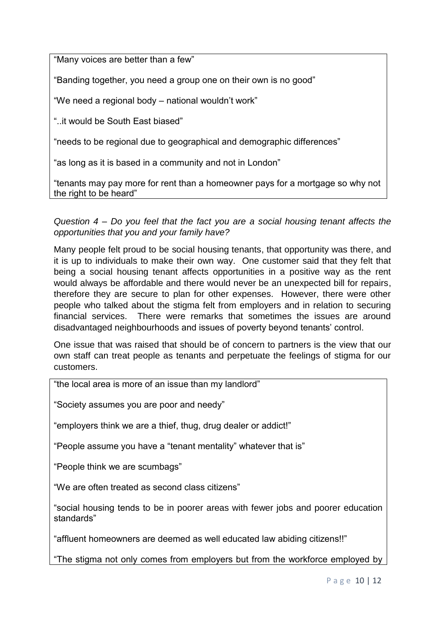"Many voices are better than a few"

"Banding together, you need a group one on their own is no good"

"We need a regional body – national wouldn't work"

"..it would be South East biased"

"needs to be regional due to geographical and demographic differences"

"as long as it is based in a community and not in London"

"tenants may pay more for rent than a homeowner pays for a mortgage so why not the right to be heard"

*Question 4 – Do you feel that the fact you are a social housing tenant affects the opportunities that you and your family have?*

Many people felt proud to be social housing tenants, that opportunity was there, and it is up to individuals to make their own way. One customer said that they felt that being a social housing tenant affects opportunities in a positive way as the rent would always be affordable and there would never be an unexpected bill for repairs, therefore they are secure to plan for other expenses. However, there were other people who talked about the stigma felt from employers and in relation to securing financial services. There were remarks that sometimes the issues are around disadvantaged neighbourhoods and issues of poverty beyond tenants' control.

One issue that was raised that should be of concern to partners is the view that our own staff can treat people as tenants and perpetuate the feelings of stigma for our customers.

"the local area is more of an issue than my landlord"

"Society assumes you are poor and needy"

"employers think we are a thief, thug, drug dealer or addict!"

"People assume you have a "tenant mentality" whatever that is"

"People think we are scumbags"

"We are often treated as second class citizens"

"social housing tends to be in poorer areas with fewer jobs and poorer education standards"

"affluent homeowners are deemed as well educated law abiding citizens!!"

"The stigma not only comes from employers but from the workforce employed by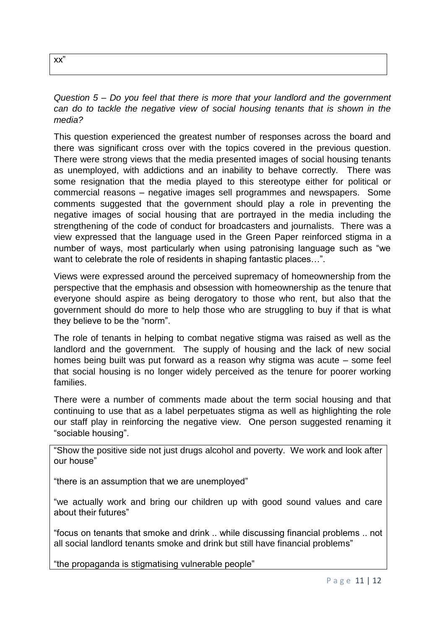| XX |  |
|----|--|
|    |  |

*Question 5 – Do you feel that there is more that your landlord and the government can do to tackle the negative view of social housing tenants that is shown in the media?*

This question experienced the greatest number of responses across the board and there was significant cross over with the topics covered in the previous question. There were strong views that the media presented images of social housing tenants as unemployed, with addictions and an inability to behave correctly. There was some resignation that the media played to this stereotype either for political or commercial reasons – negative images sell programmes and newspapers. Some comments suggested that the government should play a role in preventing the negative images of social housing that are portrayed in the media including the strengthening of the code of conduct for broadcasters and journalists. There was a view expressed that the language used in the Green Paper reinforced stigma in a number of ways, most particularly when using patronising language such as "we want to celebrate the role of residents in shaping fantastic places...".

Views were expressed around the perceived supremacy of homeownership from the perspective that the emphasis and obsession with homeownership as the tenure that everyone should aspire as being derogatory to those who rent, but also that the government should do more to help those who are struggling to buy if that is what they believe to be the "norm".

The role of tenants in helping to combat negative stigma was raised as well as the landlord and the government. The supply of housing and the lack of new social homes being built was put forward as a reason why stigma was acute – some feel that social housing is no longer widely perceived as the tenure for poorer working families.

There were a number of comments made about the term social housing and that continuing to use that as a label perpetuates stigma as well as highlighting the role our staff play in reinforcing the negative view. One person suggested renaming it "sociable housing".

"Show the positive side not just drugs alcohol and poverty. We work and look after our house"

"there is an assumption that we are unemployed"

"we actually work and bring our children up with good sound values and care about their futures"

"focus on tenants that smoke and drink .. while discussing financial problems .. not all social landlord tenants smoke and drink but still have financial problems"

"the propaganda is stigmatising vulnerable people"